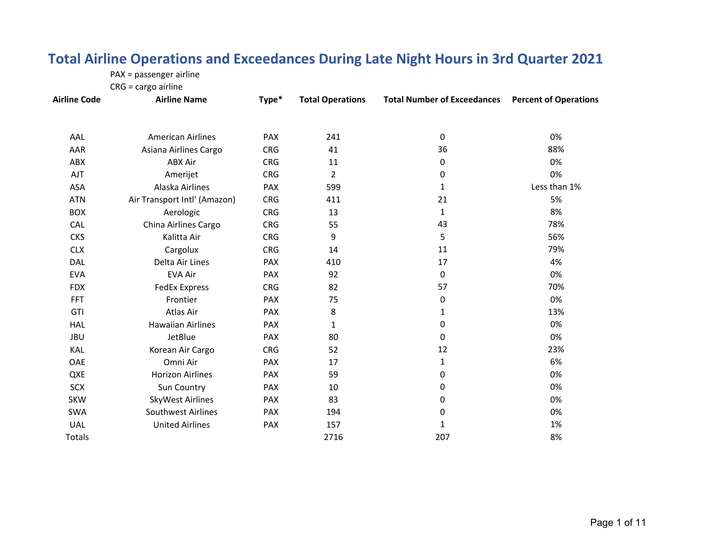#### **Total Airline Operations and Exceedances During Late Night Hours in 3rd Quarter 2021**

PAX <sup>=</sup> passenger airline

CRG <sup>=</sup> cargo airline

| <b>Airline Code</b> | <b>Airline Name</b>          | Type*      | <b>Total Operations</b> | <b>Total Number of Exceedances</b> | <b>Percent of Operations</b> |
|---------------------|------------------------------|------------|-------------------------|------------------------------------|------------------------------|
| AAL                 | <b>American Airlines</b>     | PAX        | 241                     | $\mathbf 0$                        | 0%                           |
| AAR                 | Asiana Airlines Cargo        | <b>CRG</b> | 41                      | 36                                 | 88%                          |
| ABX                 | <b>ABX Air</b>               | <b>CRG</b> | 11                      | 0                                  | 0%                           |
| AJT                 | Amerijet                     | <b>CRG</b> | $\overline{2}$          | 0                                  | 0%                           |
| ASA                 | Alaska Airlines              | <b>PAX</b> | 599                     | 1                                  | Less than 1%                 |
| <b>ATN</b>          | Air Transport Intl' (Amazon) | <b>CRG</b> | 411                     | 21                                 | 5%                           |
| <b>BOX</b>          | Aerologic                    | <b>CRG</b> | 13                      | 1                                  | 8%                           |
| <b>CAL</b>          | China Airlines Cargo         | <b>CRG</b> | 55                      | 43                                 | 78%                          |
| <b>CKS</b>          | Kalitta Air                  | <b>CRG</b> | 9                       | 5                                  | 56%                          |
| <b>CLX</b>          | Cargolux                     | <b>CRG</b> | 14                      | 11                                 | 79%                          |
| DAL                 | Delta Air Lines              | PAX        | 410                     | 17                                 | 4%                           |
| <b>EVA</b>          | <b>EVA Air</b>               | <b>PAX</b> | 92                      | 0                                  | 0%                           |
| <b>FDX</b>          | <b>FedEx Express</b>         | <b>CRG</b> | 82                      | 57                                 | 70%                          |
| <b>FFT</b>          | Frontier                     | PAX        | 75                      | 0                                  | 0%                           |
| GTI                 | Atlas Air                    | <b>PAX</b> | 8                       | $\mathbf{1}$                       | 13%                          |
| <b>HAL</b>          | <b>Hawaiian Airlines</b>     | <b>PAX</b> | 1                       | 0                                  | 0%                           |
| <b>JBU</b>          | JetBlue                      | <b>PAX</b> | 80                      | $\mathbf{0}$                       | 0%                           |
| KAL                 | Korean Air Cargo             | <b>CRG</b> | 52                      | 12                                 | 23%                          |
| OAE                 | Omni Air                     | PAX        | 17                      | $\mathbf{1}$                       | 6%                           |
| QXE                 | <b>Horizon Airlines</b>      | PAX        | 59                      | 0                                  | 0%                           |
| <b>SCX</b>          | Sun Country                  | <b>PAX</b> | 10                      | 0                                  | 0%                           |
| SKW                 | SkyWest Airlines             | <b>PAX</b> | 83                      | 0                                  | 0%                           |
| <b>SWA</b>          | <b>Southwest Airlines</b>    | <b>PAX</b> | 194                     | 0                                  | 0%                           |
| <b>UAL</b>          | <b>United Airlines</b>       | PAX        | 157                     | 1                                  | 1%                           |
| Totals              |                              |            | 2716                    | 207                                | 8%                           |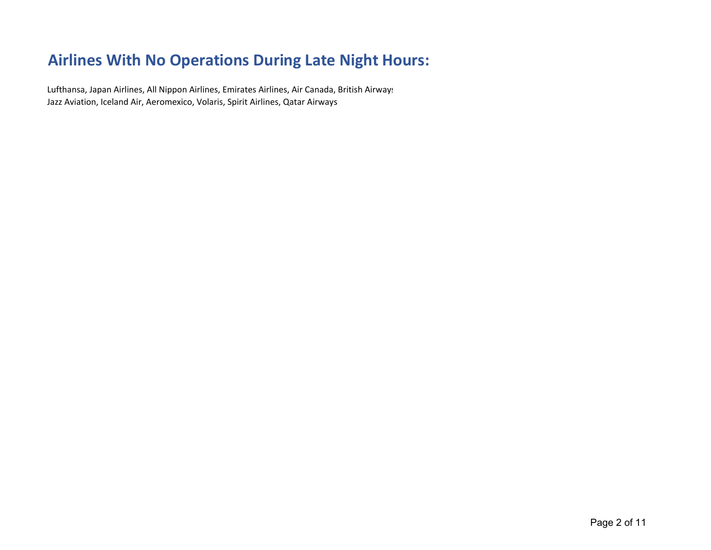# **Airlines With No Operations During Late Night Hours:**

Lufthansa, Japan Airlines, All Nippon Airlines, Emirates Airlines, Air Canada, British Airways Jazz Aviation, Iceland Air, Aeromexico, Volaris, Spirit Airlines, Qatar Airways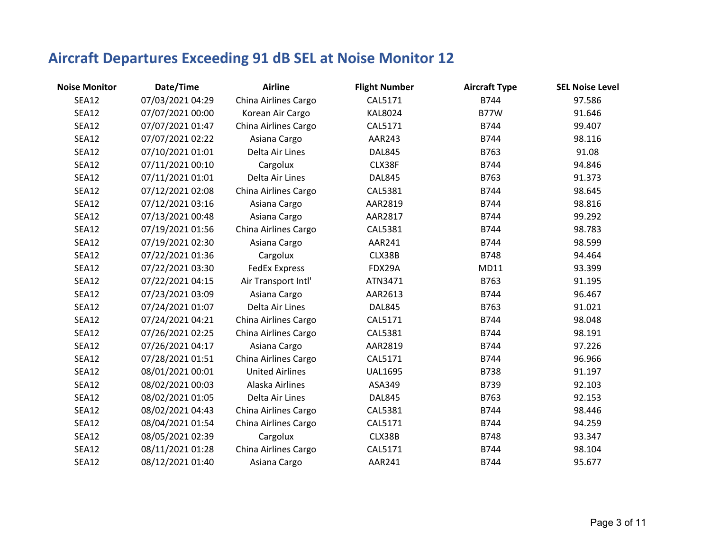| <b>Noise Monitor</b> | Date/Time        | <b>Airline</b>         | <b>Flight Number</b> | <b>Aircraft Type</b> | <b>SEL Noise Level</b> |
|----------------------|------------------|------------------------|----------------------|----------------------|------------------------|
| SEA12                | 07/03/2021 04:29 | China Airlines Cargo   | CAL5171              | B744                 | 97.586                 |
| <b>SEA12</b>         | 07/07/2021 00:00 | Korean Air Cargo       | <b>KAL8024</b>       | <b>B77W</b>          | 91.646                 |
| <b>SEA12</b>         | 07/07/2021 01:47 | China Airlines Cargo   | CAL5171              | B744                 | 99.407                 |
| <b>SEA12</b>         | 07/07/2021 02:22 | Asiana Cargo           | AAR243               | B744                 | 98.116                 |
| <b>SEA12</b>         | 07/10/2021 01:01 | Delta Air Lines        | <b>DAL845</b>        | B763                 | 91.08                  |
| SEA12                | 07/11/2021 00:10 | Cargolux               | CLX38F               | B744                 | 94.846                 |
| <b>SEA12</b>         | 07/11/2021 01:01 | Delta Air Lines        | <b>DAL845</b>        | B763                 | 91.373                 |
| SEA12                | 07/12/2021 02:08 | China Airlines Cargo   | CAL5381              | B744                 | 98.645                 |
| SEA12                | 07/12/2021 03:16 | Asiana Cargo           | AAR2819              | B744                 | 98.816                 |
| SEA12                | 07/13/2021 00:48 | Asiana Cargo           | AAR2817              | B744                 | 99.292                 |
| <b>SEA12</b>         | 07/19/2021 01:56 | China Airlines Cargo   | <b>CAL5381</b>       | B744                 | 98.783                 |
| SEA12                | 07/19/2021 02:30 | Asiana Cargo           | AAR241               | B744                 | 98.599                 |
| <b>SEA12</b>         | 07/22/2021 01:36 | Cargolux               | CLX38B               | B748                 | 94.464                 |
| <b>SEA12</b>         | 07/22/2021 03:30 | <b>FedEx Express</b>   | FDX29A               | MD11                 | 93.399                 |
| SEA12                | 07/22/2021 04:15 | Air Transport Intl'    | ATN3471              | B763                 | 91.195                 |
| <b>SEA12</b>         | 07/23/2021 03:09 | Asiana Cargo           | AAR2613              | B744                 | 96.467                 |
| SEA12                | 07/24/2021 01:07 | Delta Air Lines        | <b>DAL845</b>        | B763                 | 91.021                 |
| <b>SEA12</b>         | 07/24/2021 04:21 | China Airlines Cargo   | CAL5171              | B744                 | 98.048                 |
| <b>SEA12</b>         | 07/26/2021 02:25 | China Airlines Cargo   | CAL5381              | B744                 | 98.191                 |
| <b>SEA12</b>         | 07/26/2021 04:17 | Asiana Cargo           | AAR2819              | B744                 | 97.226                 |
| <b>SEA12</b>         | 07/28/2021 01:51 | China Airlines Cargo   | CAL5171              | B744                 | 96.966                 |
| <b>SEA12</b>         | 08/01/2021 00:01 | <b>United Airlines</b> | <b>UAL1695</b>       | B738                 | 91.197                 |
| <b>SEA12</b>         | 08/02/2021 00:03 | Alaska Airlines        | ASA349               | B739                 | 92.103                 |
| SEA12                | 08/02/2021 01:05 | Delta Air Lines        | <b>DAL845</b>        | B763                 | 92.153                 |
| <b>SEA12</b>         | 08/02/2021 04:43 | China Airlines Cargo   | CAL5381              | B744                 | 98.446                 |
| <b>SEA12</b>         | 08/04/2021 01:54 | China Airlines Cargo   | CAL5171              | B744                 | 94.259                 |
| <b>SEA12</b>         | 08/05/2021 02:39 | Cargolux               | CLX38B               | B748                 | 93.347                 |
| <b>SEA12</b>         | 08/11/2021 01:28 | China Airlines Cargo   | CAL5171              | B744                 | 98.104                 |
| <b>SEA12</b>         | 08/12/2021 01:40 | Asiana Cargo           | AAR241               | B744                 | 95.677                 |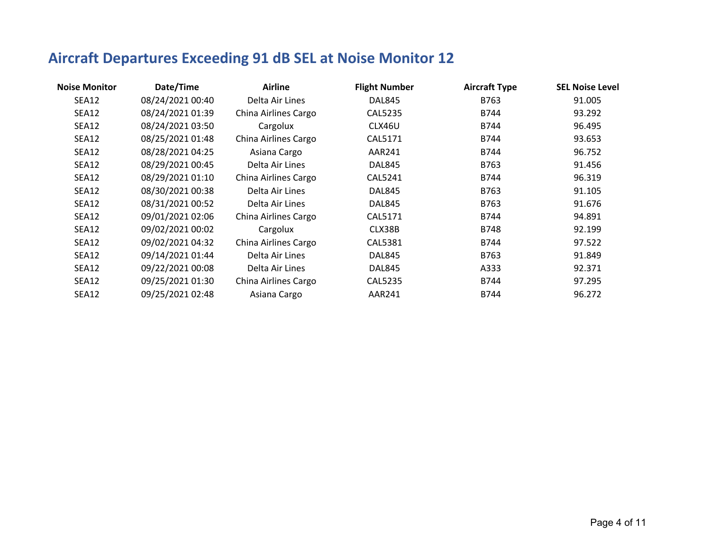| Date/Time        | <b>Airline</b>       | <b>Flight Number</b> | <b>Aircraft Type</b> | <b>SEL Noise Level</b> |
|------------------|----------------------|----------------------|----------------------|------------------------|
| 08/24/2021 00:40 | Delta Air Lines      | DAL845               | B763                 | 91.005                 |
| 08/24/2021 01:39 | China Airlines Cargo | <b>CAL5235</b>       | B744                 | 93.292                 |
| 08/24/2021 03:50 | Cargolux             | CLX46U               | B744                 | 96.495                 |
| 08/25/2021 01:48 | China Airlines Cargo | CAL5171              | B744                 | 93.653                 |
| 08/28/2021 04:25 | Asiana Cargo         | AAR241               | B744                 | 96.752                 |
| 08/29/2021 00:45 | Delta Air Lines      | DAL845               | B763                 | 91.456                 |
| 08/29/2021 01:10 | China Airlines Cargo | CAL5241              | B744                 | 96.319                 |
| 08/30/2021 00:38 | Delta Air Lines      | <b>DAL845</b>        | B763                 | 91.105                 |
| 08/31/2021 00:52 | Delta Air Lines      | <b>DAL845</b>        | B763                 | 91.676                 |
| 09/01/2021 02:06 | China Airlines Cargo | CAL5171              | B744                 | 94.891                 |
| 09/02/2021 00:02 | Cargolux             | CLX38B               | <b>B748</b>          | 92.199                 |
| 09/02/2021 04:32 | China Airlines Cargo | CAL5381              | B744                 | 97.522                 |
| 09/14/2021 01:44 | Delta Air Lines      | DAL845               | B763                 | 91.849                 |
| 09/22/2021 00:08 | Delta Air Lines      | DAL845               | A333                 | 92.371                 |
| 09/25/2021 01:30 | China Airlines Cargo | <b>CAL5235</b>       | B744                 | 97.295                 |
| 09/25/2021 02:48 | Asiana Cargo         | <b>AAR241</b>        | B744                 | 96.272                 |
|                  |                      |                      |                      |                        |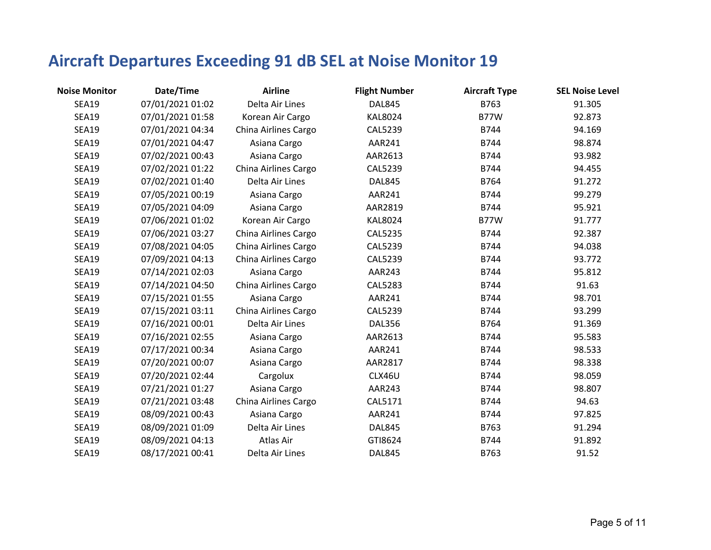| <b>Noise Monitor</b> | Date/Time        | <b>Airline</b>       | <b>Flight Number</b> | <b>Aircraft Type</b> | <b>SEL Noise Level</b> |
|----------------------|------------------|----------------------|----------------------|----------------------|------------------------|
| <b>SEA19</b>         | 07/01/2021 01:02 | Delta Air Lines      | <b>DAL845</b>        | B763                 | 91.305                 |
| <b>SEA19</b>         | 07/01/2021 01:58 | Korean Air Cargo     | <b>KAL8024</b>       | <b>B77W</b>          | 92.873                 |
| <b>SEA19</b>         | 07/01/2021 04:34 | China Airlines Cargo | <b>CAL5239</b>       | B744                 | 94.169                 |
| <b>SEA19</b>         | 07/01/2021 04:47 | Asiana Cargo         | AAR241               | B744                 | 98.874                 |
| <b>SEA19</b>         | 07/02/2021 00:43 | Asiana Cargo         | AAR2613              | B744                 | 93.982                 |
| <b>SEA19</b>         | 07/02/2021 01:22 | China Airlines Cargo | <b>CAL5239</b>       | B744                 | 94.455                 |
| <b>SEA19</b>         | 07/02/2021 01:40 | Delta Air Lines      | <b>DAL845</b>        | B764                 | 91.272                 |
| <b>SEA19</b>         | 07/05/2021 00:19 | Asiana Cargo         | AAR241               | B744                 | 99.279                 |
| <b>SEA19</b>         | 07/05/2021 04:09 | Asiana Cargo         | AAR2819              | B744                 | 95.921                 |
| <b>SEA19</b>         | 07/06/2021 01:02 | Korean Air Cargo     | <b>KAL8024</b>       | <b>B77W</b>          | 91.777                 |
| <b>SEA19</b>         | 07/06/2021 03:27 | China Airlines Cargo | <b>CAL5235</b>       | B744                 | 92.387                 |
| <b>SEA19</b>         | 07/08/2021 04:05 | China Airlines Cargo | <b>CAL5239</b>       | B744                 | 94.038                 |
| <b>SEA19</b>         | 07/09/2021 04:13 | China Airlines Cargo | CAL5239              | B744                 | 93.772                 |
| <b>SEA19</b>         | 07/14/2021 02:03 | Asiana Cargo         | AAR243               | B744                 | 95.812                 |
| <b>SEA19</b>         | 07/14/2021 04:50 | China Airlines Cargo | <b>CAL5283</b>       | B744                 | 91.63                  |
| <b>SEA19</b>         | 07/15/2021 01:55 | Asiana Cargo         | AAR241               | B744                 | 98.701                 |
| <b>SEA19</b>         | 07/15/2021 03:11 | China Airlines Cargo | <b>CAL5239</b>       | B744                 | 93.299                 |
| <b>SEA19</b>         | 07/16/2021 00:01 | Delta Air Lines      | <b>DAL356</b>        | B764                 | 91.369                 |
| <b>SEA19</b>         | 07/16/2021 02:55 | Asiana Cargo         | AAR2613              | B744                 | 95.583                 |
| <b>SEA19</b>         | 07/17/2021 00:34 | Asiana Cargo         | AAR241               | B744                 | 98.533                 |
| <b>SEA19</b>         | 07/20/2021 00:07 | Asiana Cargo         | AAR2817              | B744                 | 98.338                 |
| <b>SEA19</b>         | 07/20/2021 02:44 | Cargolux             | CLX46U               | B744                 | 98.059                 |
| <b>SEA19</b>         | 07/21/2021 01:27 | Asiana Cargo         | AAR243               | B744                 | 98.807                 |
| <b>SEA19</b>         | 07/21/2021 03:48 | China Airlines Cargo | CAL5171              | B744                 | 94.63                  |
| <b>SEA19</b>         | 08/09/2021 00:43 | Asiana Cargo         | AAR241               | B744                 | 97.825                 |
| <b>SEA19</b>         | 08/09/2021 01:09 | Delta Air Lines      | <b>DAL845</b>        | B763                 | 91.294                 |
| <b>SEA19</b>         | 08/09/2021 04:13 | Atlas Air            | GTI8624              | B744                 | 91.892                 |
| <b>SEA19</b>         | 08/17/2021 00:41 | Delta Air Lines      | <b>DAL845</b>        | B763                 | 91.52                  |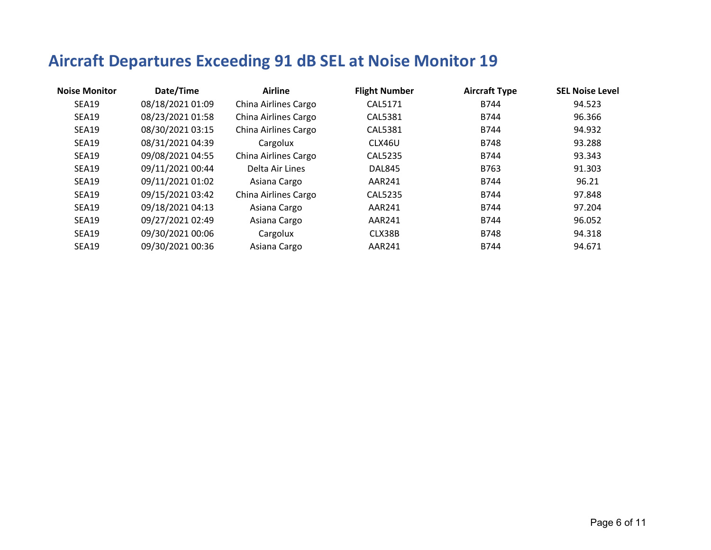| <b>Noise Monitor</b> | Date/Time        | <b>Airline</b>       | <b>Flight Number</b> | <b>Aircraft Type</b> | <b>SEL Noise Level</b> |
|----------------------|------------------|----------------------|----------------------|----------------------|------------------------|
| SEA19                | 08/18/2021 01:09 | China Airlines Cargo | CAL5171              | B744                 | 94.523                 |
| <b>SEA19</b>         | 08/23/2021 01:58 | China Airlines Cargo | CAL5381              | B744                 | 96.366                 |
| SEA19                | 08/30/2021 03:15 | China Airlines Cargo | <b>CAL5381</b>       | B744                 | 94.932                 |
| <b>SEA19</b>         | 08/31/2021 04:39 | Cargolux             | CLX46U               | <b>B748</b>          | 93.288                 |
| <b>SEA19</b>         | 09/08/2021 04:55 | China Airlines Cargo | CAL5235              | B744                 | 93.343                 |
| <b>SEA19</b>         | 09/11/2021 00:44 | Delta Air Lines      | DAL845               | B763                 | 91.303                 |
| <b>SEA19</b>         | 09/11/2021 01:02 | Asiana Cargo         | AAR241               | B744                 | 96.21                  |
| SEA19                | 09/15/2021 03:42 | China Airlines Cargo | CAL5235              | B744                 | 97.848                 |
| <b>SEA19</b>         | 09/18/2021 04:13 | Asiana Cargo         | AAR241               | B744                 | 97.204                 |
| <b>SEA19</b>         | 09/27/2021 02:49 | Asiana Cargo         | <b>AAR241</b>        | B744                 | 96.052                 |
| <b>SEA19</b>         | 09/30/2021 00:06 | Cargolux             | CLX38B               | <b>B748</b>          | 94.318                 |
| <b>SEA19</b>         | 09/30/2021 00:36 | Asiana Cargo         | AAR241               | B744                 | 94.671                 |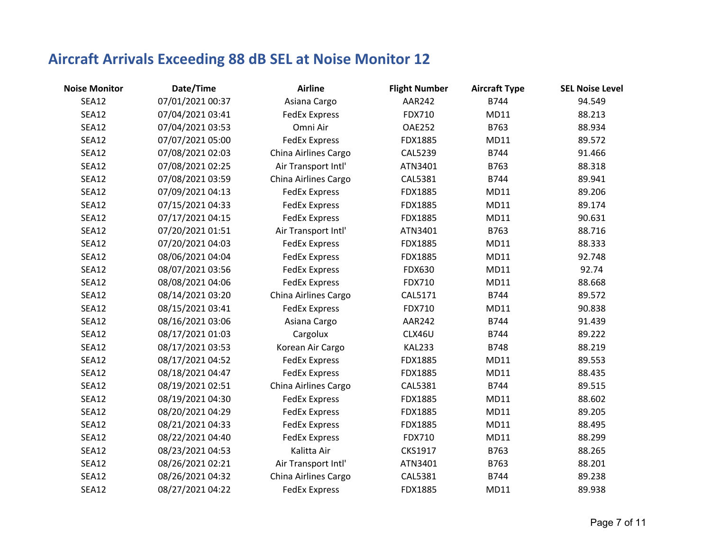| <b>Noise Monitor</b> | Date/Time        | <b>Airline</b>       | <b>Flight Number</b> | <b>Aircraft Type</b> | <b>SEL Noise Level</b> |
|----------------------|------------------|----------------------|----------------------|----------------------|------------------------|
| <b>SEA12</b>         | 07/01/2021 00:37 | Asiana Cargo         | <b>AAR242</b>        | B744                 | 94.549                 |
| <b>SEA12</b>         | 07/04/2021 03:41 | <b>FedEx Express</b> | <b>FDX710</b>        | MD11                 | 88.213                 |
| SEA12                | 07/04/2021 03:53 | Omni Air             | <b>OAE252</b>        | B763                 | 88.934                 |
| SEA12                | 07/07/2021 05:00 | <b>FedEx Express</b> | FDX1885              | MD11                 | 89.572                 |
| SEA12                | 07/08/2021 02:03 | China Airlines Cargo | <b>CAL5239</b>       | B744                 | 91.466                 |
| <b>SEA12</b>         | 07/08/2021 02:25 | Air Transport Intl'  | ATN3401              | B763                 | 88.318                 |
| SEA12                | 07/08/2021 03:59 | China Airlines Cargo | CAL5381              | B744                 | 89.941                 |
| <b>SEA12</b>         | 07/09/2021 04:13 | <b>FedEx Express</b> | FDX1885              | MD11                 | 89.206                 |
| SEA12                | 07/15/2021 04:33 | <b>FedEx Express</b> | <b>FDX1885</b>       | MD11                 | 89.174                 |
| <b>SEA12</b>         | 07/17/2021 04:15 | <b>FedEx Express</b> | FDX1885              | MD11                 | 90.631                 |
| <b>SEA12</b>         | 07/20/2021 01:51 | Air Transport Intl'  | ATN3401              | B763                 | 88.716                 |
| <b>SEA12</b>         | 07/20/2021 04:03 | <b>FedEx Express</b> | FDX1885              | MD11                 | 88.333                 |
| <b>SEA12</b>         | 08/06/2021 04:04 | <b>FedEx Express</b> | FDX1885              | MD11                 | 92.748                 |
| SEA12                | 08/07/2021 03:56 | <b>FedEx Express</b> | <b>FDX630</b>        | MD11                 | 92.74                  |
| SEA12                | 08/08/2021 04:06 | <b>FedEx Express</b> | <b>FDX710</b>        | MD11                 | 88.668                 |
| <b>SEA12</b>         | 08/14/2021 03:20 | China Airlines Cargo | CAL5171              | B744                 | 89.572                 |
| SEA12                | 08/15/2021 03:41 | <b>FedEx Express</b> | <b>FDX710</b>        | <b>MD11</b>          | 90.838                 |
| SEA12                | 08/16/2021 03:06 | Asiana Cargo         | <b>AAR242</b>        | B744                 | 91.439                 |
| SEA12                | 08/17/2021 01:03 | Cargolux             | CLX46U               | B744                 | 89.222                 |
| <b>SEA12</b>         | 08/17/2021 03:53 | Korean Air Cargo     | <b>KAL233</b>        | <b>B748</b>          | 88.219                 |
| <b>SEA12</b>         | 08/17/2021 04:52 | <b>FedEx Express</b> | FDX1885              | MD11                 | 89.553                 |
| <b>SEA12</b>         | 08/18/2021 04:47 | <b>FedEx Express</b> | FDX1885              | MD11                 | 88.435                 |
| <b>SEA12</b>         | 08/19/2021 02:51 | China Airlines Cargo | <b>CAL5381</b>       | B744                 | 89.515                 |
| SEA12                | 08/19/2021 04:30 | <b>FedEx Express</b> | FDX1885              | MD11                 | 88.602                 |
| SEA12                | 08/20/2021 04:29 | <b>FedEx Express</b> | FDX1885              | MD11                 | 89.205                 |
| <b>SEA12</b>         | 08/21/2021 04:33 | <b>FedEx Express</b> | <b>FDX1885</b>       | MD11                 | 88.495                 |
| <b>SEA12</b>         | 08/22/2021 04:40 | <b>FedEx Express</b> | <b>FDX710</b>        | MD11                 | 88.299                 |
| <b>SEA12</b>         | 08/23/2021 04:53 | Kalitta Air          | CKS1917              | B763                 | 88.265                 |
| <b>SEA12</b>         | 08/26/2021 02:21 | Air Transport Intl'  | ATN3401              | B763                 | 88.201                 |
| <b>SEA12</b>         | 08/26/2021 04:32 | China Airlines Cargo | CAL5381              | B744                 | 89.238                 |
| <b>SEA12</b>         | 08/27/2021 04:22 | <b>FedEx Express</b> | FDX1885              | MD11                 | 89.938                 |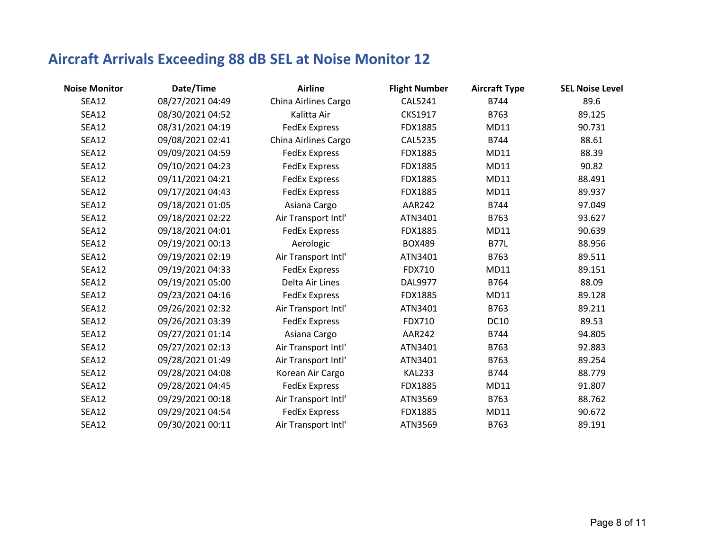| <b>Noise Monitor</b> | Date/Time        | <b>Airline</b>       | <b>Flight Number</b> | <b>Aircraft Type</b> | <b>SEL Noise Level</b> |
|----------------------|------------------|----------------------|----------------------|----------------------|------------------------|
| <b>SEA12</b>         | 08/27/2021 04:49 | China Airlines Cargo | CAL5241              | B744                 | 89.6                   |
| <b>SEA12</b>         | 08/30/2021 04:52 | Kalitta Air          | CKS1917              | B763                 | 89.125                 |
| <b>SEA12</b>         | 08/31/2021 04:19 | <b>FedEx Express</b> | FDX1885              | MD11                 | 90.731                 |
| <b>SEA12</b>         | 09/08/2021 02:41 | China Airlines Cargo | <b>CAL5235</b>       | B744                 | 88.61                  |
| <b>SEA12</b>         | 09/09/2021 04:59 | <b>FedEx Express</b> | FDX1885              | MD11                 | 88.39                  |
| <b>SEA12</b>         | 09/10/2021 04:23 | <b>FedEx Express</b> | <b>FDX1885</b>       | MD11                 | 90.82                  |
| <b>SEA12</b>         | 09/11/2021 04:21 | <b>FedEx Express</b> | <b>FDX1885</b>       | MD11                 | 88.491                 |
| <b>SEA12</b>         | 09/17/2021 04:43 | <b>FedEx Express</b> | <b>FDX1885</b>       | MD11                 | 89.937                 |
| <b>SEA12</b>         | 09/18/2021 01:05 | Asiana Cargo         | <b>AAR242</b>        | B744                 | 97.049                 |
| <b>SEA12</b>         | 09/18/2021 02:22 | Air Transport Intl'  | ATN3401              | B763                 | 93.627                 |
| <b>SEA12</b>         | 09/18/2021 04:01 | <b>FedEx Express</b> | <b>FDX1885</b>       | <b>MD11</b>          | 90.639                 |
| SEA12                | 09/19/2021 00:13 | Aerologic            | <b>BOX489</b>        | <b>B77L</b>          | 88.956                 |
| <b>SEA12</b>         | 09/19/2021 02:19 | Air Transport Intl'  | ATN3401              | B763                 | 89.511                 |
| <b>SEA12</b>         | 09/19/2021 04:33 | <b>FedEx Express</b> | FDX710               | <b>MD11</b>          | 89.151                 |
| <b>SEA12</b>         | 09/19/2021 05:00 | Delta Air Lines      | DAL9977              | B764                 | 88.09                  |
| <b>SEA12</b>         | 09/23/2021 04:16 | <b>FedEx Express</b> | FDX1885              | <b>MD11</b>          | 89.128                 |
| <b>SEA12</b>         | 09/26/2021 02:32 | Air Transport Intl'  | ATN3401              | B763                 | 89.211                 |
| <b>SEA12</b>         | 09/26/2021 03:39 | <b>FedEx Express</b> | FDX710               | <b>DC10</b>          | 89.53                  |
| <b>SEA12</b>         | 09/27/2021 01:14 | Asiana Cargo         | <b>AAR242</b>        | B744                 | 94.805                 |
| <b>SEA12</b>         | 09/27/2021 02:13 | Air Transport Intl'  | ATN3401              | B763                 | 92.883                 |
| <b>SEA12</b>         | 09/28/2021 01:49 | Air Transport Intl'  | ATN3401              | B763                 | 89.254                 |
| SEA12                | 09/28/2021 04:08 | Korean Air Cargo     | <b>KAL233</b>        | B744                 | 88.779                 |
| <b>SEA12</b>         | 09/28/2021 04:45 | <b>FedEx Express</b> | <b>FDX1885</b>       | MD11                 | 91.807                 |
| SEA12                | 09/29/2021 00:18 | Air Transport Intl'  | ATN3569              | B763                 | 88.762                 |
| <b>SEA12</b>         | 09/29/2021 04:54 | <b>FedEx Express</b> | <b>FDX1885</b>       | <b>MD11</b>          | 90.672                 |
| <b>SEA12</b>         | 09/30/2021 00:11 | Air Transport Intl'  | ATN3569              | B763                 | 89.191                 |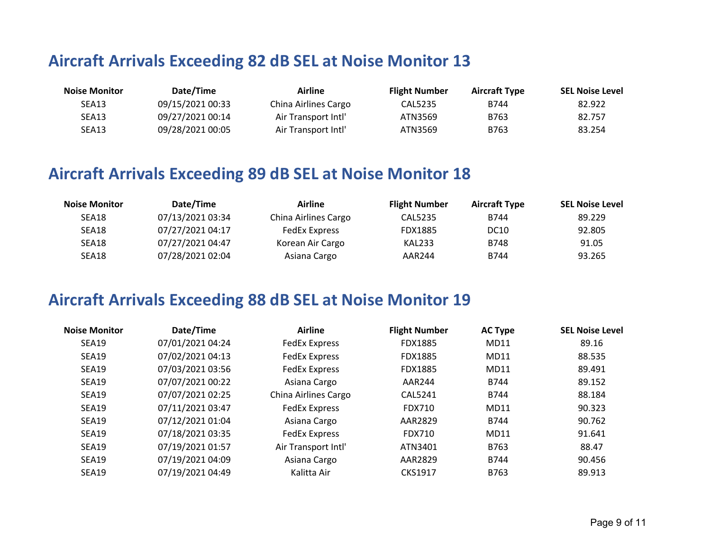| <b>Noise Monitor</b> | Date/Time        | Airline              | <b>Flight Number</b> | <b>Aircraft Type</b> | <b>SEL Noise Level</b> |
|----------------------|------------------|----------------------|----------------------|----------------------|------------------------|
| SEA13                | 09/15/2021 00:33 | China Airlines Cargo | CAL5235              | B744                 | 82.922                 |
| SEA13                | 09/27/2021 00:14 | Air Transport Intl'  | ATN3569              | B763                 | 82.757                 |
| SEA13                | 09/28/2021 00:05 | Air Transport Intl'  | ATN3569              | B763                 | 83.254                 |

### **Aircraft Arrivals Exceeding 89 dB SEL at Noise Monitor 18**

| <b>Noise Monitor</b> | Date/Time        | Airline              | <b>Flight Number</b> | <b>Aircraft Type</b> | <b>SEL Noise Level</b> |
|----------------------|------------------|----------------------|----------------------|----------------------|------------------------|
| SEA18                | 07/13/2021 03:34 | China Airlines Cargo | CAL5235              | B744                 | 89.229                 |
| SEA18                | 07/27/2021 04:17 | FedEx Express        | <b>FDX1885</b>       | DC10                 | 92.805                 |
| SEA18                | 07/27/2021 04:47 | Korean Air Cargo     | KAL233               | B748                 | 91.05                  |
| SEA18                | 07/28/2021 02:04 | Asiana Cargo         | AAR244               | B744                 | 93.265                 |

| <b>Noise Monitor</b> | Date/Time        | <b>Airline</b>       | <b>Flight Number</b> | <b>AC Type</b> | <b>SEL Noise Level</b> |
|----------------------|------------------|----------------------|----------------------|----------------|------------------------|
| SEA19                | 07/01/2021 04:24 | <b>FedEx Express</b> | <b>FDX1885</b>       | MD11           | 89.16                  |
| SEA19                | 07/02/2021 04:13 | <b>FedEx Express</b> | <b>FDX1885</b>       | MD11           | 88.535                 |
| <b>SEA19</b>         | 07/03/2021 03:56 | <b>FedEx Express</b> | <b>FDX1885</b>       | MD11           | 89.491                 |
| SEA19                | 07/07/2021 00:22 | Asiana Cargo         | AAR244               | B744           | 89.152                 |
| SEA19                | 07/07/2021 02:25 | China Airlines Cargo | CAL5241              | B744           | 88.184                 |
| SEA19                | 07/11/2021 03:47 | <b>FedEx Express</b> | FDX710               | MD11           | 90.323                 |
| SEA19                | 07/12/2021 01:04 | Asiana Cargo         | AAR2829              | <b>B744</b>    | 90.762                 |
| SEA19                | 07/18/2021 03:35 | <b>FedEx Express</b> | FDX710               | MD11           | 91.641                 |
| SEA19                | 07/19/2021 01:57 | Air Transport Intl'  | ATN3401              | B763           | 88.47                  |
| SEA19                | 07/19/2021 04:09 | Asiana Cargo         | AAR2829              | B744           | 90.456                 |
| SEA19                | 07/19/2021 04:49 | Kalitta Air          | <b>CKS1917</b>       | B763           | 89.913                 |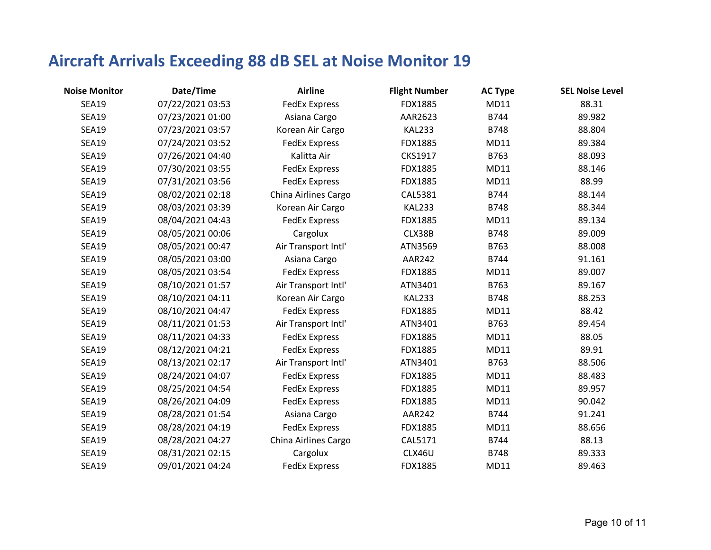| <b>Noise Monitor</b> | Date/Time        | <b>Airline</b>       | <b>Flight Number</b> | <b>AC Type</b> | <b>SEL Noise Level</b> |
|----------------------|------------------|----------------------|----------------------|----------------|------------------------|
| <b>SEA19</b>         | 07/22/2021 03:53 | <b>FedEx Express</b> | FDX1885              | MD11           | 88.31                  |
| <b>SEA19</b>         | 07/23/2021 01:00 | Asiana Cargo         | AAR2623              | B744           | 89.982                 |
| <b>SEA19</b>         | 07/23/2021 03:57 | Korean Air Cargo     | <b>KAL233</b>        | B748           | 88.804                 |
| <b>SEA19</b>         | 07/24/2021 03:52 | <b>FedEx Express</b> | FDX1885              | MD11           | 89.384                 |
| <b>SEA19</b>         | 07/26/2021 04:40 | Kalitta Air          | CKS1917              | B763           | 88.093                 |
| <b>SEA19</b>         | 07/30/2021 03:55 | <b>FedEx Express</b> | FDX1885              | MD11           | 88.146                 |
| <b>SEA19</b>         | 07/31/2021 03:56 | <b>FedEx Express</b> | FDX1885              | MD11           | 88.99                  |
| <b>SEA19</b>         | 08/02/2021 02:18 | China Airlines Cargo | CAL5381              | B744           | 88.144                 |
| <b>SEA19</b>         | 08/03/2021 03:39 | Korean Air Cargo     | <b>KAL233</b>        | B748           | 88.344                 |
| <b>SEA19</b>         | 08/04/2021 04:43 | <b>FedEx Express</b> | FDX1885              | MD11           | 89.134                 |
| <b>SEA19</b>         | 08/05/2021 00:06 | Cargolux             | CLX38B               | B748           | 89.009                 |
| <b>SEA19</b>         | 08/05/2021 00:47 | Air Transport Intl'  | ATN3569              | B763           | 88.008                 |
| <b>SEA19</b>         | 08/05/2021 03:00 | Asiana Cargo         | AAR242               | B744           | 91.161                 |
| <b>SEA19</b>         | 08/05/2021 03:54 | <b>FedEx Express</b> | FDX1885              | MD11           | 89.007                 |
| <b>SEA19</b>         | 08/10/2021 01:57 | Air Transport Intl'  | ATN3401              | B763           | 89.167                 |
| <b>SEA19</b>         | 08/10/2021 04:11 | Korean Air Cargo     | <b>KAL233</b>        | B748           | 88.253                 |
| <b>SEA19</b>         | 08/10/2021 04:47 | <b>FedEx Express</b> | FDX1885              | MD11           | 88.42                  |
| <b>SEA19</b>         | 08/11/2021 01:53 | Air Transport Intl'  | ATN3401              | B763           | 89.454                 |
| <b>SEA19</b>         | 08/11/2021 04:33 | <b>FedEx Express</b> | FDX1885              | MD11           | 88.05                  |
| <b>SEA19</b>         | 08/12/2021 04:21 | <b>FedEx Express</b> | <b>FDX1885</b>       | MD11           | 89.91                  |
| <b>SEA19</b>         | 08/13/2021 02:17 | Air Transport Intl'  | ATN3401              | B763           | 88.506                 |
| <b>SEA19</b>         | 08/24/2021 04:07 | <b>FedEx Express</b> | <b>FDX1885</b>       | MD11           | 88.483                 |
| <b>SEA19</b>         | 08/25/2021 04:54 | <b>FedEx Express</b> | FDX1885              | MD11           | 89.957                 |
| <b>SEA19</b>         | 08/26/2021 04:09 | <b>FedEx Express</b> | FDX1885              | MD11           | 90.042                 |
| <b>SEA19</b>         | 08/28/2021 01:54 | Asiana Cargo         | AAR242               | B744           | 91.241                 |
| <b>SEA19</b>         | 08/28/2021 04:19 | <b>FedEx Express</b> | FDX1885              | MD11           | 88.656                 |
| <b>SEA19</b>         | 08/28/2021 04:27 | China Airlines Cargo | CAL5171              | B744           | 88.13                  |
| <b>SEA19</b>         | 08/31/2021 02:15 | Cargolux             | CLX46U               | B748           | 89.333                 |
| <b>SEA19</b>         | 09/01/2021 04:24 | <b>FedEx Express</b> | FDX1885              | MD11           | 89.463                 |